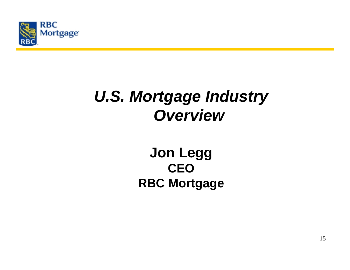

# *U.S. Mortgage Industry Overview*

### **Jon Legg CEORBC Mortgage**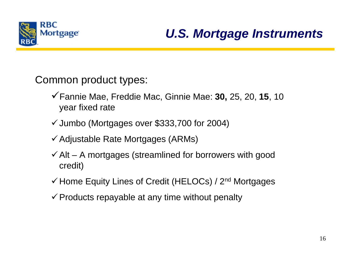

#### *U.S. Mortgage Instruments*

Common product types:

- Fannie Mae, Freddie Mac, Ginnie Mae: **30,** 25, 20, **15**, <sup>10</sup> year fixed rate
- $\checkmark$  Jumbo (Mortgages over \$333,700 for 2004)
- $\checkmark$  Adjustable Rate Mortgages (ARMs)
- $\checkmark$  Alt A mortgages (streamlined for borrowers with good credit)
- $\checkmark$  Home Equity Lines of Credit (HELOCs) / 2<sup>nd</sup> Mortgages
- $\checkmark$  Products repayable at any time without penalty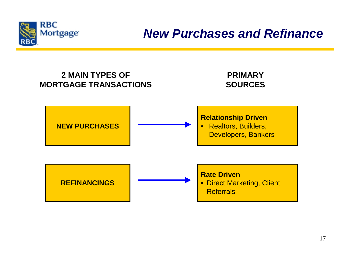

#### *New Purchases and Refinance*

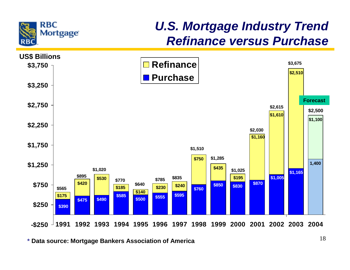

#### *U.S. Mortgage Industry Trend Refinance versus Purchase*



**\* Data source: Mortgage Bankers Association of America**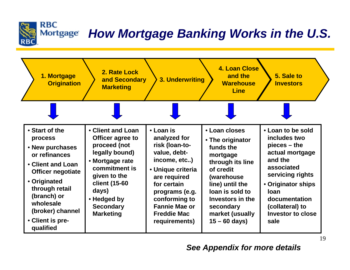#### *How Mortgage Banking Works in the U.S.* Mortgage



**RBC**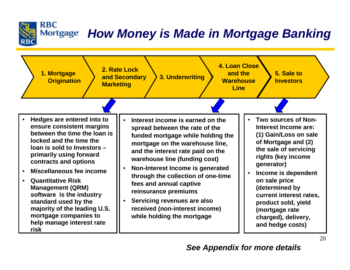## *How Money is Made in Mortgage Banking*



**RBC**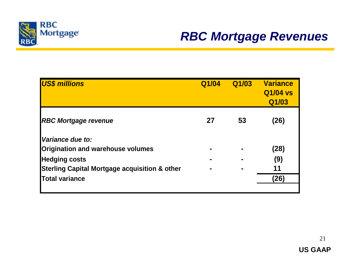

#### *RBC Mortgage Revenues*

| <b>US\$ millions</b>                                     | Q1/04 | Q1/03 | <b>Variance</b><br>Q1/04 vs<br>Q1/03 |  |
|----------------------------------------------------------|-------|-------|--------------------------------------|--|
| <b>RBC Mortgage revenue</b>                              | 27    | 53    | (26)                                 |  |
|                                                          |       |       |                                      |  |
| Variance due to:                                         |       |       |                                      |  |
| <b>Origination and warehouse volumes</b>                 |       |       | (28)                                 |  |
| <b>Hedging costs</b>                                     |       |       | (9)                                  |  |
| <b>Sterling Capital Mortgage acquisition &amp; other</b> |       |       | 11                                   |  |
| <b>Total variance</b>                                    |       |       | (26)                                 |  |
|                                                          |       |       |                                      |  |

21